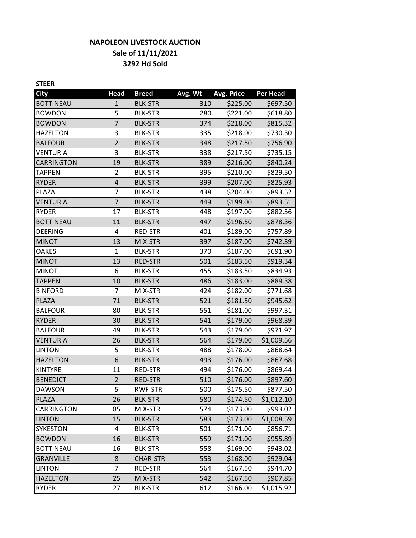# **NAPOLEON LIVESTOCK AUCTION Sale of 11/11/2021 3292 Hd Sold**

| <b>STEER</b>      |                |                 |         |            |                 |
|-------------------|----------------|-----------------|---------|------------|-----------------|
| <b>City</b>       | <b>Head</b>    | <b>Breed</b>    | Avg. Wt | Avg. Price | <b>Per Head</b> |
| <b>BOTTINEAU</b>  | 1              | <b>BLK-STR</b>  | 310     | \$225.00   | \$697.50        |
| <b>BOWDON</b>     | 5              | <b>BLK-STR</b>  | 280     | \$221.00   | \$618.80        |
| <b>BOWDON</b>     | $\overline{7}$ | <b>BLK-STR</b>  | 374     | \$218.00   | \$815.32        |
| <b>HAZELTON</b>   | 3              | <b>BLK-STR</b>  | 335     | \$218.00   | \$730.30        |
| <b>BALFOUR</b>    | $\overline{2}$ | <b>BLK-STR</b>  | 348     | \$217.50   | \$756.90        |
| VENTURIA          | 3              | <b>BLK-STR</b>  | 338     | \$217.50   | \$735.15        |
| <b>CARRINGTON</b> | 19             | <b>BLK-STR</b>  | 389     | \$216.00   | \$840.24        |
| TAPPEN            | 2              | <b>BLK-STR</b>  | 395     | \$210.00   | \$829.50        |
| <b>RYDER</b>      | 4              | <b>BLK-STR</b>  | 399     | \$207.00   | \$825.93        |
| PLAZA             | 7              | <b>BLK-STR</b>  | 438     | \$204.00   | \$893.52        |
| VENTURIA          | $\overline{7}$ | <b>BLK-STR</b>  | 449     | \$199.00   | \$893.51        |
| <b>RYDER</b>      | 17             | <b>BLK-STR</b>  | 448     | \$197.00   | \$882.56        |
| <b>BOTTINEAU</b>  | 11             | <b>BLK-STR</b>  | 447     | \$196.50   | \$878.36        |
| <b>DEERING</b>    | 4              | RED-STR         | 401     | \$189.00   | \$757.89        |
| <b>MINOT</b>      | 13             | MIX-STR         | 397     | \$187.00   | \$742.39        |
| <b>OAKES</b>      | $\mathbf{1}$   | <b>BLK-STR</b>  | 370     | \$187.00   | \$691.90        |
| <b>MINOT</b>      | 13             | <b>RED-STR</b>  | 501     | \$183.50   | \$919.34        |
| <b>MINOT</b>      | 6              | <b>BLK-STR</b>  | 455     | \$183.50   | \$834.93        |
| <b>TAPPEN</b>     | 10             | <b>BLK-STR</b>  | 486     | \$183.00   | \$889.38        |
| <b>BINFORD</b>    | 7              | MIX-STR         | 424     | \$182.00   | \$771.68        |
| <b>PLAZA</b>      | 71             | <b>BLK-STR</b>  | 521     | \$181.50   | \$945.62        |
| <b>BALFOUR</b>    | 80             | <b>BLK-STR</b>  | 551     | \$181.00   | \$997.31        |
| <b>RYDER</b>      | 30             | <b>BLK-STR</b>  | 541     | \$179.00   | \$968.39        |
| <b>BALFOUR</b>    | 49             | <b>BLK-STR</b>  | 543     | \$179.00   | \$971.97        |
| VENTURIA          | 26             | <b>BLK-STR</b>  | 564     | \$179.00   | \$1,009.56      |
| <b>LINTON</b>     | 5              | <b>BLK-STR</b>  | 488     | \$178.00   | \$868.64        |
| <b>HAZELTON</b>   | 6              | <b>BLK-STR</b>  | 493     | \$176.00   | \$867.68        |
| <b>KINTYRE</b>    | 11             | RED-STR         | 494     | \$176.00   | \$869.44        |
| <b>BENEDICT</b>   | $\overline{2}$ | <b>RED-STR</b>  | 510     | \$176.00   | \$897.60        |
| <b>DAWSON</b>     | 5              | RWF-STR         | 500     | \$175.50   | \$877.50        |
| <b>PLAZA</b>      | 26             | <b>BLK-STR</b>  | 580     | \$174.50   | \$1,012.10      |
| CARRINGTON        | 85             | MIX-STR         | 574     | \$173.00   | \$993.02        |
| <b>LINTON</b>     | 15             | <b>BLK-STR</b>  | 583     | \$173.00   | \$1,008.59      |
| <b>SYKESTON</b>   | 4              | <b>BLK-STR</b>  | 501     | \$171.00   | \$856.71        |
| <b>BOWDON</b>     | 16             | <b>BLK-STR</b>  | 559     | \$171.00   | \$955.89        |
| <b>BOTTINEAU</b>  | 16             | <b>BLK-STR</b>  | 558     | \$169.00   | \$943.02        |
| <b>GRANVILLE</b>  | 8              | <b>CHAR-STR</b> | 553     | \$168.00   | \$929.04        |
| <b>LINTON</b>     | 7              | <b>RED-STR</b>  | 564     | \$167.50   | \$944.70        |
| <b>HAZELTON</b>   | 25             | MIX-STR         | 542     | \$167.50   | \$907.85        |
| <b>RYDER</b>      | 27             | <b>BLK-STR</b>  | 612     | \$166.00   | \$1,015.92      |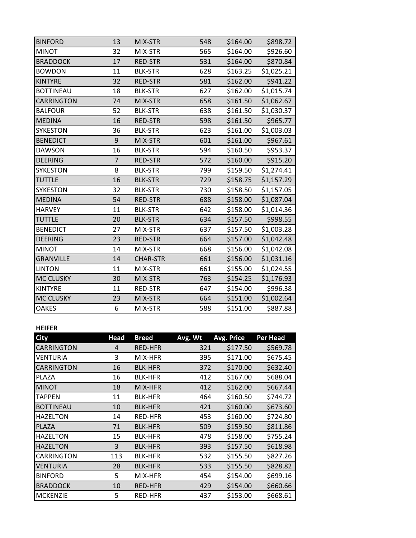| <b>BINFORD</b>    | 13             | MIX-STR         | 548 | \$164.00 | \$898.72   |
|-------------------|----------------|-----------------|-----|----------|------------|
| <b>MINOT</b>      | 32             | MIX-STR         | 565 | \$164.00 | \$926.60   |
| <b>BRADDOCK</b>   | 17             | RED-STR         | 531 | \$164.00 | \$870.84   |
| <b>BOWDON</b>     | 11             | <b>BLK-STR</b>  | 628 | \$163.25 | \$1,025.21 |
| <b>KINTYRE</b>    | 32             | <b>RED-STR</b>  | 581 | \$162.00 | \$941.22   |
| <b>BOTTINEAU</b>  | 18             | <b>BLK-STR</b>  | 627 | \$162.00 | \$1,015.74 |
| <b>CARRINGTON</b> | 74             | MIX-STR         | 658 | \$161.50 | \$1,062.67 |
| <b>BALFOUR</b>    | 52             | <b>BLK-STR</b>  | 638 | \$161.50 | \$1,030.37 |
| <b>MEDINA</b>     | 16             | <b>RED-STR</b>  | 598 | \$161.50 | \$965.77   |
| <b>SYKESTON</b>   | 36             | <b>BLK-STR</b>  | 623 | \$161.00 | \$1,003.03 |
| <b>BENEDICT</b>   | 9              | MIX-STR         | 601 | \$161.00 | \$967.61   |
| <b>DAWSON</b>     | 16             | <b>BLK-STR</b>  | 594 | \$160.50 | \$953.37   |
| <b>DEERING</b>    | $\overline{7}$ | <b>RED-STR</b>  | 572 | \$160.00 | \$915.20   |
| <b>SYKESTON</b>   | 8              | <b>BLK-STR</b>  | 799 | \$159.50 | \$1,274.41 |
| <b>TUTTLE</b>     | 16             | <b>BLK-STR</b>  | 729 | \$158.75 | \$1,157.29 |
| <b>SYKESTON</b>   | 32             | <b>BLK-STR</b>  | 730 | \$158.50 | \$1,157.05 |
| <b>MEDINA</b>     | 54             | <b>RED-STR</b>  | 688 | \$158.00 | \$1,087.04 |
| <b>HARVEY</b>     | 11             | <b>BLK-STR</b>  | 642 | \$158.00 | \$1,014.36 |
| <b>TUTTLE</b>     | 20             | <b>BLK-STR</b>  | 634 | \$157.50 | \$998.55   |
| <b>BENEDICT</b>   | 27             | MIX-STR         | 637 | \$157.50 | \$1,003.28 |
| <b>DEERING</b>    | 23             | <b>RED-STR</b>  | 664 | \$157.00 | \$1,042.48 |
| <b>MINOT</b>      | 14             | MIX-STR         | 668 | \$156.00 | \$1,042.08 |
| <b>GRANVILLE</b>  | 14             | <b>CHAR-STR</b> | 661 | \$156.00 | \$1,031.16 |
| <b>LINTON</b>     | 11             | MIX-STR         | 661 | \$155.00 | \$1,024.55 |
| <b>MC CLUSKY</b>  | 30             | MIX-STR         | 763 | \$154.25 | \$1,176.93 |
| <b>KINTYRE</b>    | 11             | <b>RED-STR</b>  | 647 | \$154.00 | \$996.38   |
| <b>MC CLUSKY</b>  | 23             | MIX-STR         | 664 | \$151.00 | \$1,002.64 |
| <b>OAKES</b>      | 6              | MIX-STR         | 588 | \$151.00 | \$887.88   |
|                   |                |                 |     |          |            |

### **HEIFER**

| neiren           |             |                |         |            |          |
|------------------|-------------|----------------|---------|------------|----------|
| <b>City</b>      | <b>Head</b> | <b>Breed</b>   | Avg. Wt | Avg. Price | Per Head |
| CARRINGTON       | 4           | <b>RED-HFR</b> | 321     | \$177.50   | \$569.78 |
| VENTURIA         | 3           | MIX-HFR        | 395     | \$171.00   | \$675.45 |
| CARRINGTON       | 16          | <b>BLK-HFR</b> | 372     | \$170.00   | \$632.40 |
| PLAZA            | 16          | <b>BLK-HFR</b> | 412     | \$167.00   | \$688.04 |
| <b>MINOT</b>     | 18          | MIX-HFR        | 412     | \$162.00   | \$667.44 |
| TAPPEN           | 11          | <b>BLK-HFR</b> | 464     | \$160.50   | \$744.72 |
| <b>BOTTINEAU</b> | 10          | <b>BLK-HFR</b> | 421     | \$160.00   | \$673.60 |
| HAZELTON         | 14          | <b>RED-HFR</b> | 453     | \$160.00   | \$724.80 |
| PLAZA            | 71          | <b>BLK-HFR</b> | 509     | \$159.50   | \$811.86 |
| HAZELTON         | 15          | <b>BLK-HFR</b> | 478     | \$158.00   | \$755.24 |
| <b>HAZELTON</b>  | 3           | <b>BLK-HFR</b> | 393     | \$157.50   | \$618.98 |
| CARRINGTON       | 113         | <b>BLK-HFR</b> | 532     | \$155.50   | \$827.26 |
| VENTURIA         | 28          | <b>BLK-HFR</b> | 533     | \$155.50   | \$828.82 |
| <b>BINFORD</b>   | 5           | MIX-HFR        | 454     | \$154.00   | \$699.16 |
| <b>BRADDOCK</b>  | 10          | <b>RED-HFR</b> | 429     | \$154.00   | \$660.66 |
| MCKENZIE         | 5           | <b>RED-HFR</b> | 437     | \$153.00   | \$668.61 |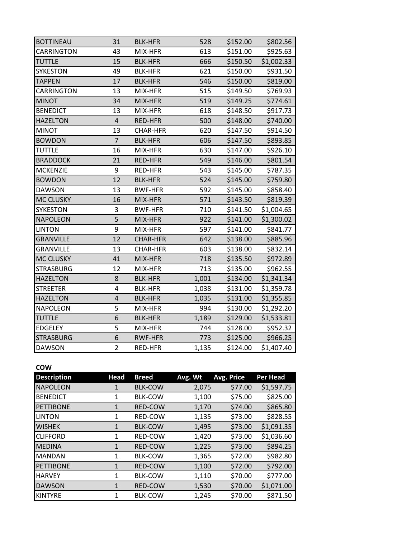| <b>BOTTINEAU</b>  | 31                       | <b>BLK-HFR</b>  | 528   | \$152.00 | \$802.56   |
|-------------------|--------------------------|-----------------|-------|----------|------------|
| <b>CARRINGTON</b> | 43                       | MIX-HFR         | 613   | \$151.00 | \$925.63   |
| <b>TUTTLE</b>     | 15                       | <b>BLK-HFR</b>  | 666   | \$150.50 | \$1,002.33 |
| <b>SYKESTON</b>   | 49                       | <b>BLK-HFR</b>  | 621   | \$150.00 | \$931.50   |
| <b>TAPPEN</b>     | 17                       | <b>BLK-HFR</b>  | 546   | \$150.00 | \$819.00   |
| <b>CARRINGTON</b> | 13                       | MIX-HFR         | 515   | \$149.50 | \$769.93   |
| <b>MINOT</b>      | 34                       | MIX-HFR         | 519   | \$149.25 | \$774.61   |
| <b>BENEDICT</b>   | 13                       | MIX-HFR         | 618   | \$148.50 | \$917.73   |
| <b>HAZELTON</b>   | $\overline{\mathcal{L}}$ | <b>RED-HFR</b>  | 500   | \$148.00 | \$740.00   |
| <b>MINOT</b>      | 13                       | <b>CHAR-HFR</b> | 620   | \$147.50 | \$914.50   |
| <b>BOWDON</b>     | $\overline{7}$           | <b>BLK-HFR</b>  | 606   | \$147.50 | \$893.85   |
| <b>TUTTLE</b>     | 16                       | MIX-HFR         | 630   | \$147.00 | \$926.10   |
| <b>BRADDOCK</b>   | 21                       | <b>RED-HFR</b>  | 549   | \$146.00 | \$801.54   |
| <b>MCKENZIE</b>   | 9                        | RED-HFR         | 543   | \$145.00 | \$787.35   |
| <b>BOWDON</b>     | 12                       | <b>BLK-HFR</b>  | 524   | \$145.00 | \$759.80   |
| <b>DAWSON</b>     | 13                       | <b>BWF-HFR</b>  | 592   | \$145.00 | \$858.40   |
| <b>MC CLUSKY</b>  | 16                       | MIX-HFR         | 571   | \$143.50 | \$819.39   |
| <b>SYKESTON</b>   | 3                        | <b>BWF-HFR</b>  | 710   | \$141.50 | \$1,004.65 |
| <b>NAPOLEON</b>   | 5                        | MIX-HFR         | 922   | \$141.00 | \$1,300.02 |
| <b>LINTON</b>     | 9                        | MIX-HFR         | 597   | \$141.00 | \$841.77   |
| <b>GRANVILLE</b>  | 12                       | <b>CHAR-HFR</b> | 642   | \$138.00 | \$885.96   |
| <b>GRANVILLE</b>  | 13                       | <b>CHAR-HFR</b> | 603   | \$138.00 | \$832.14   |
| MC CLUSKY         | 41                       | MIX-HFR         | 718   | \$135.50 | \$972.89   |
| <b>STRASBURG</b>  | 12                       | MIX-HFR         | 713   | \$135.00 | \$962.55   |
| <b>HAZELTON</b>   | 8                        | <b>BLK-HFR</b>  | 1,001 | \$134.00 | \$1,341.34 |
| <b>STREETER</b>   | 4                        | <b>BLK-HFR</b>  | 1,038 | \$131.00 | \$1,359.78 |
| <b>HAZELTON</b>   | 4                        | <b>BLK-HFR</b>  | 1,035 | \$131.00 | \$1,355.85 |
| <b>NAPOLEON</b>   | 5                        | MIX-HFR         | 994   | \$130.00 | \$1,292.20 |
| <b>TUTTLE</b>     | 6                        | <b>BLK-HFR</b>  | 1,189 | \$129.00 | \$1,533.81 |
| <b>EDGELEY</b>    | 5                        | MIX-HFR         | 744   | \$128.00 | \$952.32   |
| <b>STRASBURG</b>  | 6                        | <b>RWF-HFR</b>  | 773   | \$125.00 | \$966.25   |
| <b>DAWSON</b>     | 2                        | RED-HFR         | 1,135 | \$124.00 | \$1,407.40 |
|                   |                          |                 |       |          |            |

## **COW**

| <b>Description</b> | <b>Head</b>  | <b>Breed</b>   | Avg. Wt | Avg. Price | <b>Per Head</b> |
|--------------------|--------------|----------------|---------|------------|-----------------|
| <b>NAPOLEON</b>    | 1            | <b>BLK-COW</b> | 2,075   | \$77.00    | \$1,597.75      |
| <b>BENEDICT</b>    | 1            | <b>BLK-COW</b> | 1,100   | \$75.00    | \$825.00        |
| <b>PETTIBONE</b>   | 1            | <b>RED-COW</b> | 1,170   | \$74.00    | \$865.80        |
| LINTON             | 1            | RED-COW        | 1,135   | \$73.00    | \$828.55        |
| <b>WISHEK</b>      | $\mathbf{1}$ | <b>BLK-COW</b> | 1,495   | \$73.00    | \$1,091.35      |
| <b>CLIFFORD</b>    | 1            | <b>RED-COW</b> | 1,420   | \$73.00    | \$1,036.60      |
| <b>MEDINA</b>      | $\mathbf{1}$ | <b>RED-COW</b> | 1,225   | \$73.00    | \$894.25        |
| <b>MANDAN</b>      | 1            | <b>BLK-COW</b> | 1,365   | \$72.00    | \$982.80        |
| <b>PETTIBONE</b>   | 1            | RED-COW        | 1,100   | \$72.00    | \$792.00        |
| <b>HARVEY</b>      | 1            | <b>BLK-COW</b> | 1,110   | \$70.00    | \$777.00        |
| <b>DAWSON</b>      | 1            | <b>RED-COW</b> | 1,530   | \$70.00    | \$1,071.00      |
| <b>KINTYRE</b>     | 1            | <b>BLK-COW</b> | 1,245   | \$70.00    | \$871.50        |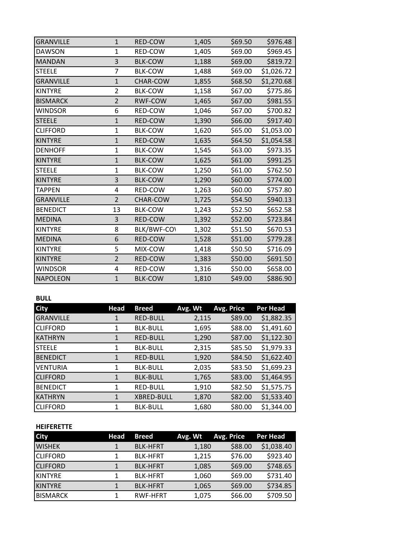| <b>GRANVILLE</b> | $\mathbf{1}$   | RED-COW         | 1,405 | \$69.50 | \$976.48   |
|------------------|----------------|-----------------|-------|---------|------------|
| <b>DAWSON</b>    | 1              | RED-COW         | 1,405 | \$69.00 | \$969.45   |
| <b>MANDAN</b>    | 3              | <b>BLK-COW</b>  | 1,188 | \$69.00 | \$819.72   |
| <b>STEELE</b>    | 7              | <b>BLK-COW</b>  | 1,488 | \$69.00 | \$1,026.72 |
| <b>GRANVILLE</b> | $\mathbf{1}$   | <b>CHAR-COW</b> | 1,855 | \$68.50 | \$1,270.68 |
| <b>KINTYRE</b>   | $\overline{2}$ | <b>BLK-COW</b>  | 1,158 | \$67.00 | \$775.86   |
| <b>BISMARCK</b>  | $\overline{2}$ | <b>RWF-COW</b>  | 1,465 | \$67.00 | \$981.55   |
| <b>WINDSOR</b>   | 6              | RED-COW         | 1,046 | \$67.00 | \$700.82   |
| <b>STEELE</b>    | $\mathbf{1}$   | RED-COW         | 1,390 | \$66.00 | \$917.40   |
| <b>CLIFFORD</b>  | $\mathbf{1}$   | <b>BLK-COW</b>  | 1,620 | \$65.00 | \$1,053.00 |
| <b>KINTYRE</b>   | $\mathbf{1}$   | RED-COW         | 1,635 | \$64.50 | \$1,054.58 |
| <b>DENHOFF</b>   | $\mathbf 1$    | <b>BLK-COW</b>  | 1,545 | \$63.00 | \$973.35   |
| <b>KINTYRE</b>   | $\overline{1}$ | <b>BLK-COW</b>  | 1,625 | \$61.00 | \$991.25   |
| <b>STEELE</b>    | $\mathbf{1}$   | <b>BLK-COW</b>  | 1,250 | \$61.00 | \$762.50   |
| <b>KINTYRE</b>   | 3              | <b>BLK-COW</b>  | 1,290 | \$60.00 | \$774.00   |
| <b>TAPPEN</b>    | 4              | RED-COW         | 1,263 | \$60.00 | \$757.80   |
| <b>GRANVILLE</b> | $\overline{2}$ | <b>CHAR-COW</b> | 1,725 | \$54.50 | \$940.13   |
| <b>BENEDICT</b>  | 13             | <b>BLK-COW</b>  | 1,243 | \$52.50 | \$652.58   |
| <b>MEDINA</b>    | 3              | RED-COW         | 1,392 | \$52.00 | \$723.84   |
| <b>KINTYRE</b>   | 8              | BLK/BWF-CO\     | 1,302 | \$51.50 | \$670.53   |
| <b>MEDINA</b>    | 6              | RED-COW         | 1,528 | \$51.00 | \$779.28   |
| <b>KINTYRE</b>   | 5              | MIX-COW         | 1,418 | \$50.50 | \$716.09   |
| <b>KINTYRE</b>   | $\overline{2}$ | RED-COW         | 1,383 | \$50.00 | \$691.50   |
| <b>WINDSOR</b>   | 4              | RED-COW         | 1,316 | \$50.00 | \$658.00   |
| <b>NAPOLEON</b>  | $\mathbf{1}$   | <b>BLK-COW</b>  | 1,810 | \$49.00 | \$886.90   |

## **BULL**

| ---              |      |                   |         |            |            |
|------------------|------|-------------------|---------|------------|------------|
| <b>City</b>      | Head | <b>Breed</b>      | Avg. Wt | Avg. Price | Per Head   |
| <b>GRANVILLE</b> | 1    | <b>RED-BULL</b>   | 2,115   | \$89.00    | \$1,882.35 |
| <b>CLIFFORD</b>  | 1    | <b>BLK-BULL</b>   | 1,695   | \$88.00    | \$1,491.60 |
| <b>KATHRYN</b>   | 1    | <b>RED-BULL</b>   | 1,290   | \$87.00    | \$1,122.30 |
| <b>STEELE</b>    | 1    | <b>BLK-BULL</b>   | 2,315   | \$85.50    | \$1,979.33 |
| <b>BENEDICT</b>  | 1    | <b>RED-BULL</b>   | 1,920   | \$84.50    | \$1,622.40 |
| <b>VENTURIA</b>  | 1    | <b>BLK-BULL</b>   | 2,035   | \$83.50    | \$1,699.23 |
| <b>CLIFFORD</b>  | 1    | <b>BLK-BULL</b>   | 1,765   | \$83.00    | \$1,464.95 |
| <b>BENEDICT</b>  | 1    | <b>RED-BULL</b>   | 1,910   | \$82.50    | \$1,575.75 |
| <b>KATHRYN</b>   | 1    | <b>XBRED-BULL</b> | 1,870   | \$82.00    | \$1,533.40 |
| <b>CLIFFORD</b>  | 1    | <b>BLK-BULL</b>   | 1,680   | \$80.00    | \$1,344.00 |
|                  |      |                   |         |            |            |

### **HEIFERETTE**

| City            | Head | <b>Breed</b>    | Avg. Wt | Avg. Price | Per Head   |
|-----------------|------|-----------------|---------|------------|------------|
| <b>WISHEK</b>   |      | <b>BLK-HFRT</b> | 1,180   | \$88.00    | \$1,038.40 |
| <b>CLIFFORD</b> |      | <b>BLK-HFRT</b> | 1,215   | \$76.00    | \$923.40   |
| <b>CLIFFORD</b> |      | <b>BLK-HFRT</b> | 1,085   | \$69.00    | \$748.65   |
| <b>KINTYRE</b>  |      | <b>BLK-HFRT</b> | 1,060   | \$69.00    | \$731.40   |
| <b>KINTYRE</b>  |      | <b>BLK-HFRT</b> | 1,065   | \$69.00    | \$734.85   |
| <b>BISMARCK</b> |      | <b>RWF-HFRT</b> | 1,075   | \$66.00    | \$709.50   |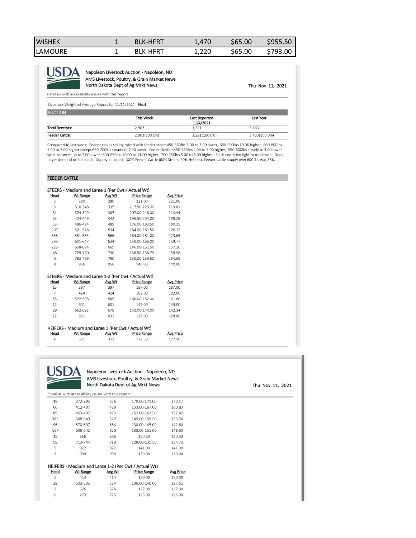| <b>WISHEK</b> | <b>BI K-HERT</b> | 1.470 | \$65.00 | \$955.50 |
|---------------|------------------|-------|---------|----------|
| ILAMOURE      | <b>BI K-HERT</b> | 1.220 | \$65.00 | \$793.00 |



### Napoleon Livestock Auction - Napoleon, ND AMS Livestock, Poultry, & Grain Market News North Dakota Dept of Ag Mrkt News

Email us with accessibility issues with this report.

Livestock Weighted Average Report for 11/11/2021 - Final

| <b>AUCTION</b>         |                  |                                   |               |
|------------------------|------------------|-----------------------------------|---------------|
|                        | <b>This Week</b> | <b>Last Reported</b><br>11/4/2021 | Last Year     |
| <b>Total Receipts:</b> | 2,803            | 3,221                             | 3.483         |
| <b>Feeder Cattle:</b>  | 2,803(100.0%)    | 3,221(100.0%)                     | 3,483(100.0%) |

Compared to last week; Feeder calves selling mixed with feeder steers450-550lbs 3.00 to 7.00 lower, 550-600lbs 10.00 higher, 600-800lbs<br>4.00 to 7.00 higher except 650-700lbs steady to 1.00 lower. Feeder heifers450-550lbs 4

#### **FEEDER CATTLE**

|                | STEERS - Medium and Large 1 (Per Cwt / Actual Wt)   |        |                    |                  |
|----------------|-----------------------------------------------------|--------|--------------------|------------------|
| Head           | <b>Wt Range</b>                                     | Avg Wt | <b>Price Range</b> | <b>Avg Price</b> |
| 5              | 280                                                 | 280    | 221.00             | 221.00           |
| 3              | 310-348                                             | 335    | 217.50-225.00      | 219.81           |
| 31             | 374-399                                             | 387    | 207.00-218.00      | 214.94           |
| 53             | 424-449                                             | 442    | 196.50-204.00      | 198.28           |
| 53             | 486-494                                             | 489    | 176.00-183.50      | 180.25           |
| 207            | 521-548                                             | 534    | 164.00-181.50      | 176.12           |
| 355            | 551-583                                             | 566    | 164.00-181.00      | 173.65           |
| 265            | 601-647                                             | 634    | 150.00-166.00      | 159.77           |
| 225            | 658-694                                             | 669    | 146.00-161.50      | 157.26           |
| 48             | 729-730                                             | 730    | 158.50-158.75      | 158.58           |
| 43             | 783-799                                             | 790    | 150.00-159.50      | 154.65           |
| 8              | 956                                                 | 956    | 140.00             | 140.00           |
|                |                                                     |        |                    |                  |
|                | STEERS - Medium and Large 1-2 (Per Cwt / Actual Wt) |        |                    |                  |
| Head           | <b>Wt Range</b>                                     | Avg Wt | <b>Price Range</b> | <b>Avg Price</b> |
| 13             | 397                                                 | 397    | 187.00             | 187.00           |
| $\overline{7}$ | 424                                                 | 424    | 182.00             | 182.00           |
| 55             | 572-598                                             | 585    | 160.00-162.00      | 161.60           |
| 12             | 601                                                 | 601    | 149.00             | 149.00           |
| 29             | 662-683                                             | 679    | 142.00-144.00      | 142.34           |
| 12             | 831                                                 | 831    | 128.00             | 128.00           |
|                |                                                     |        |                    |                  |
|                | HEIFERS - Medium and Large 1 (Per Cwt / Actual Wt)  |        |                    |                  |
| Head           | <b>Wt Range</b>                                     | Avg Wt | <b>Price Range</b> | <b>Avg Price</b> |
| $\Delta$       | 321                                                 | 321    | 17750              | 17750            |



#### Napoleon Livestock Auction - Napoleon, ND AMS Livestock, Poultry, & Grain Market News North Dakota Dept of Ag Mrkt News

Thu Nov 11, 2021

Thu Nov 11, 2021

|      | Email us with accessibility issues with this report. |        |                                                      |                  |  |
|------|------------------------------------------------------|--------|------------------------------------------------------|------------------|--|
| 19   | 372-395                                              | 376    | 170.00-171.00                                        | 170.17           |  |
| 60   | 412-437                                              | 420    | 153.00-167.00                                        | 160.83           |  |
| 89   | 453-497                                              | 473    | 152.00-163.50                                        | 157.42           |  |
| 383  | 508-549                                              | 527    | 145.00-159.50                                        | 153.56           |  |
| 96   | 570-597                                              | 584    | 138.00-145.00                                        | 142.80           |  |
| 167  | 606-642                                              | 620    | 138.00-151.00                                        | 148.30           |  |
| 15   | 666                                                  | 666    | 150.50                                               | 150.50           |  |
| 58   | 713-744                                              | 719    | 128.00-135.50                                        | 134.73           |  |
| 5    | 922                                                  | 922    | 141.00                                               | 141.00           |  |
| 5    | 994                                                  | 994    | 130.00                                               | 130.00           |  |
|      |                                                      |        | HEIFERS - Medium and Large 1-2 (Per Cwt / Actual Wt) |                  |  |
| Head | <b>Wt Range</b>                                      | Avg Wt | <b>Price Range</b>                                   | <b>Avg Price</b> |  |
| 5    | 414                                                  | 414    | 150.00                                               | 150.00           |  |
| 28   | 533-535                                              | 534    | 136.00-140.00                                        | 137.61           |  |
| 7    | 676                                                  | 676    | 137.00                                               | 137.00           |  |
| 6    | 773                                                  | 773    | 125.00                                               | 125.00           |  |